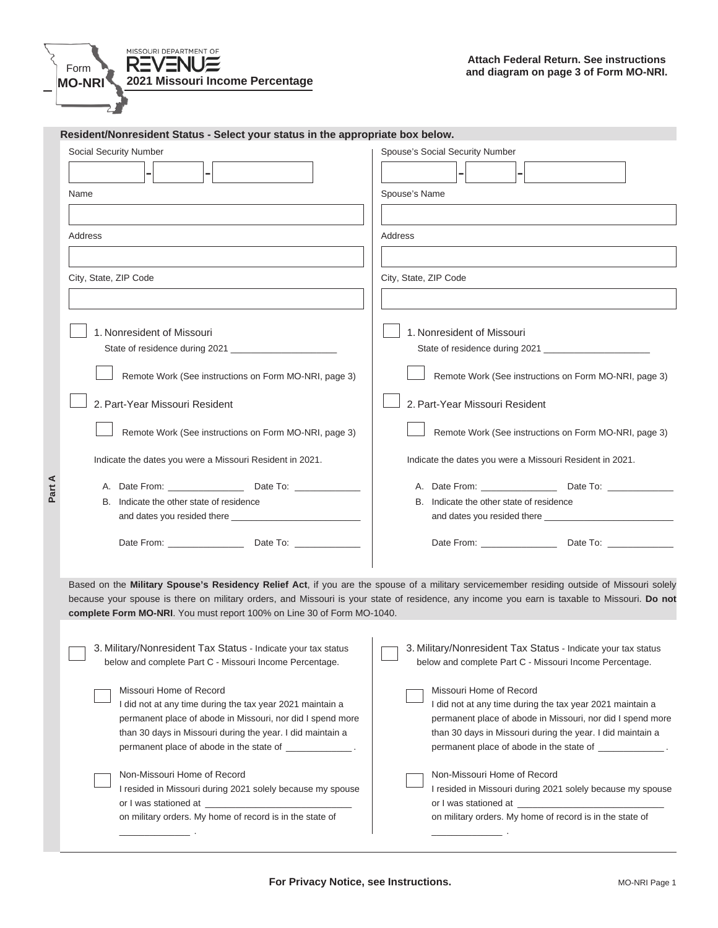

\_\_\_\_\_\_\_\_\_\_\_\_\_\_ .

| Resident/Nonresident Status - Select your status in the appropriate box below. |                                                                                                                                                                                                                                                                                            |  |  |  |  |
|--------------------------------------------------------------------------------|--------------------------------------------------------------------------------------------------------------------------------------------------------------------------------------------------------------------------------------------------------------------------------------------|--|--|--|--|
| Social Security Number                                                         | Spouse's Social Security Number                                                                                                                                                                                                                                                            |  |  |  |  |
|                                                                                |                                                                                                                                                                                                                                                                                            |  |  |  |  |
| Name                                                                           | Spouse's Name                                                                                                                                                                                                                                                                              |  |  |  |  |
|                                                                                |                                                                                                                                                                                                                                                                                            |  |  |  |  |
| Address                                                                        | Address                                                                                                                                                                                                                                                                                    |  |  |  |  |
|                                                                                |                                                                                                                                                                                                                                                                                            |  |  |  |  |
| City, State, ZIP Code                                                          | City, State, ZIP Code                                                                                                                                                                                                                                                                      |  |  |  |  |
|                                                                                |                                                                                                                                                                                                                                                                                            |  |  |  |  |
|                                                                                |                                                                                                                                                                                                                                                                                            |  |  |  |  |
| 1. Nonresident of Missouri                                                     | 1. Nonresident of Missouri                                                                                                                                                                                                                                                                 |  |  |  |  |
|                                                                                |                                                                                                                                                                                                                                                                                            |  |  |  |  |
| Remote Work (See instructions on Form MO-NRI, page 3)                          | Remote Work (See instructions on Form MO-NRI, page 3)<br>2. Part-Year Missouri Resident<br>Remote Work (See instructions on Form MO-NRI, page 3)                                                                                                                                           |  |  |  |  |
| 2. Part-Year Missouri Resident                                                 |                                                                                                                                                                                                                                                                                            |  |  |  |  |
| Remote Work (See instructions on Form MO-NRI, page 3)                          |                                                                                                                                                                                                                                                                                            |  |  |  |  |
| Indicate the dates you were a Missouri Resident in 2021.                       | Indicate the dates you were a Missouri Resident in 2021.                                                                                                                                                                                                                                   |  |  |  |  |
|                                                                                | A. Date From: Date To:                                                                                                                                                                                                                                                                     |  |  |  |  |
| B. Indicate the other state of residence                                       | B. Indicate the other state of residence                                                                                                                                                                                                                                                   |  |  |  |  |
|                                                                                |                                                                                                                                                                                                                                                                                            |  |  |  |  |
|                                                                                |                                                                                                                                                                                                                                                                                            |  |  |  |  |
| complete Form MO-NRI. You must report 100% on Line 30 of Form MO-1040.         | Based on the Military Spouse's Residency Relief Act, if you are the spouse of a military servicemember residing outside of Missouri solely<br>because your spouse is there on military orders, and Missouri is your state of residence, any income you earn is taxable to Missouri. Do not |  |  |  |  |
| 3. Military/Nonresident Tax Status - Indicate your tax status                  | 3. Military/Nonresident Tax Status - Indicate your tax status                                                                                                                                                                                                                              |  |  |  |  |
| below and complete Part C - Missouri Income Percentage.                        | below and complete Part C - Missouri Income Percentage.                                                                                                                                                                                                                                    |  |  |  |  |
| Missouri Home of Record                                                        | Missouri Home of Record                                                                                                                                                                                                                                                                    |  |  |  |  |
| I did not at any time during the tax year 2021 maintain a                      | I did not at any time during the tax year 2021 maintain a                                                                                                                                                                                                                                  |  |  |  |  |
| permanent place of abode in Missouri, nor did I spend more                     | permanent place of abode in Missouri, nor did I spend more                                                                                                                                                                                                                                 |  |  |  |  |
| than 30 days in Missouri during the year. I did maintain a                     | than 30 days in Missouri during the year. I did maintain a                                                                                                                                                                                                                                 |  |  |  |  |
| permanent place of abode in the state of ____________.                         | permanent place of abode in the state of _____________.                                                                                                                                                                                                                                    |  |  |  |  |
| Non-Missouri Home of Record                                                    | Non-Missouri Home of Record                                                                                                                                                                                                                                                                |  |  |  |  |
| I resided in Missouri during 2021 solely because my spouse                     | I resided in Missouri during 2021 solely because my spouse                                                                                                                                                                                                                                 |  |  |  |  |
| or I was stationed at ____________________                                     | or I was stationed at __________________                                                                                                                                                                                                                                                   |  |  |  |  |
| on military orders. My home of record is in the state of                       | on military orders. My home of record is in the state of                                                                                                                                                                                                                                   |  |  |  |  |

 $\overline{\phantom{a}}$  .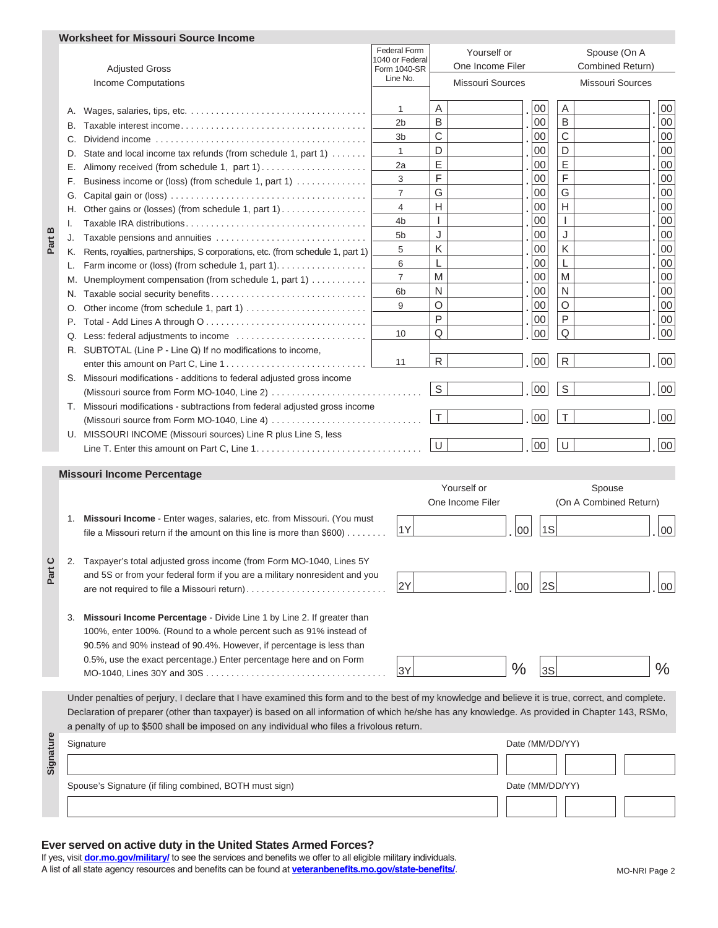|           |                                                                            | Worksheet for Missouri Source Income                                                                                                                |                                        |                  |                         |                        |                         |  |  |  |
|-----------|----------------------------------------------------------------------------|-----------------------------------------------------------------------------------------------------------------------------------------------------|----------------------------------------|------------------|-------------------------|------------------------|-------------------------|--|--|--|
|           |                                                                            |                                                                                                                                                     | <b>Federal Form</b><br>1040 or Federal |                  | Yourself or             |                        | Spouse (On A            |  |  |  |
| ഇ<br>Part |                                                                            | <b>Adjusted Gross</b>                                                                                                                               | Form 1040-SR                           |                  | One Income Filer        |                        | Combined Return)        |  |  |  |
|           |                                                                            | <b>Income Computations</b>                                                                                                                          | Line No.                               |                  | <b>Missouri Sources</b> |                        | <b>Missouri Sources</b> |  |  |  |
|           |                                                                            |                                                                                                                                                     |                                        |                  | 00                      | A                      |                         |  |  |  |
|           | Α.                                                                         |                                                                                                                                                     | 1                                      | Α<br>$\mathsf B$ | 00                      | $\mathsf B$            | $00\,$<br>00            |  |  |  |
|           | В.                                                                         |                                                                                                                                                     | 2b                                     | C                | 00                      | C                      | 00                      |  |  |  |
|           | С.                                                                         |                                                                                                                                                     | 3b                                     | D                |                         | D                      |                         |  |  |  |
|           | D.                                                                         | State and local income tax refunds (from schedule 1, part 1)                                                                                        | 1                                      | $\mathsf E$      | 00                      | E                      | 00                      |  |  |  |
|           | Е.                                                                         | Alimony received (from schedule 1, part 1)                                                                                                          | 2a                                     | F                | 00                      | F                      | 00                      |  |  |  |
|           | F.                                                                         | Business income or (loss) (from schedule 1, part 1)                                                                                                 | 3                                      |                  | 00                      |                        | 00                      |  |  |  |
|           | G.                                                                         |                                                                                                                                                     | 7                                      | G                | 00                      | G<br>$\overline{H}$    | 00                      |  |  |  |
|           | Н.                                                                         | Other gains or (losses) (from schedule 1, part 1)                                                                                                   | 4                                      | H                | 00                      |                        | 00                      |  |  |  |
|           | Ι.                                                                         |                                                                                                                                                     | 4b                                     | $\mathbf{I}$     | 00                      | $\overline{1}$         | 00                      |  |  |  |
|           | J.                                                                         | Taxable pensions and annuities                                                                                                                      | 5b                                     | J                | 00                      | J                      | 00                      |  |  |  |
|           | K.                                                                         | Rents, royalties, partnerships, S corporations, etc. (from schedule 1, part 1)                                                                      | 5                                      | K                | 00                      | K                      | 00                      |  |  |  |
|           | L.                                                                         | Farm income or (loss) (from schedule 1, part 1).                                                                                                    | 6                                      | L                | 00                      | L                      | 00                      |  |  |  |
|           | M.                                                                         | Unemployment compensation (from schedule 1, part 1)                                                                                                 | $\overline{7}$                         | M                | 00                      | M                      | 00                      |  |  |  |
|           | N.                                                                         |                                                                                                                                                     | 6b                                     | N                | 00                      | N                      | 00                      |  |  |  |
|           | Ο.                                                                         |                                                                                                                                                     | 9                                      | O                | 00                      | O                      | 00                      |  |  |  |
|           | Р.                                                                         |                                                                                                                                                     |                                        | $\mathsf{P}$     | 00                      | P                      | 00                      |  |  |  |
|           | Q.                                                                         |                                                                                                                                                     | 10                                     | Q                | 00                      | $\mathsf Q$            | 00                      |  |  |  |
|           |                                                                            | R. SUBTOTAL (Line P - Line Q) If no modifications to income,                                                                                        |                                        |                  |                         |                        |                         |  |  |  |
|           |                                                                            |                                                                                                                                                     | 11                                     | ${\sf R}$        | 00                      | ${\sf R}$              | 00                      |  |  |  |
|           |                                                                            | S. Missouri modifications - additions to federal adjusted gross income                                                                              |                                        | S                | $00\,$                  | S                      | 00                      |  |  |  |
|           |                                                                            | (Missouri source from Form MO-1040, Line 2) $\dots \dots \dots \dots \dots \dots \dots \dots \dots \dots$                                           |                                        |                  |                         |                        |                         |  |  |  |
|           |                                                                            | T. Missouri modifications - subtractions from federal adjusted gross income                                                                         |                                        | $\top$           | 00                      | $\top$                 | 00                      |  |  |  |
|           |                                                                            |                                                                                                                                                     |                                        |                  |                         |                        |                         |  |  |  |
|           |                                                                            | U. MISSOURI INCOME (Missouri sources) Line R plus Line S, less                                                                                      |                                        |                  |                         | $\cup$                 | 00                      |  |  |  |
|           |                                                                            |                                                                                                                                                     |                                        | $\cup$           | $00\,$                  |                        |                         |  |  |  |
|           |                                                                            | <b>Missouri Income Percentage</b>                                                                                                                   |                                        |                  |                         |                        |                         |  |  |  |
|           |                                                                            |                                                                                                                                                     |                                        |                  | Yourself or             | Spouse                 |                         |  |  |  |
|           |                                                                            |                                                                                                                                                     |                                        |                  | One Income Filer        | (On A Combined Return) |                         |  |  |  |
|           | 1.                                                                         | Missouri Income - Enter wages, salaries, etc. from Missouri. (You must                                                                              |                                        |                  |                         |                        |                         |  |  |  |
|           |                                                                            | file a Missouri return if the amount on this line is more than $$600)$                                                                              | 1Y                                     |                  | 1S<br>00                |                        | 00                      |  |  |  |
|           |                                                                            |                                                                                                                                                     |                                        |                  |                         |                        |                         |  |  |  |
|           |                                                                            | Taxpayer's total adjusted gross income (from Form MO-1040, Lines 5Y                                                                                 |                                        |                  |                         |                        |                         |  |  |  |
| Part      | and 5S or from your federal form if you are a military nonresident and you |                                                                                                                                                     |                                        |                  |                         |                        |                         |  |  |  |
|           |                                                                            | are not required to file a Missouri return)                                                                                                         | 2Y                                     |                  | 2S<br>$00\,$            |                        | 00                      |  |  |  |
|           |                                                                            |                                                                                                                                                     |                                        |                  |                         |                        |                         |  |  |  |
|           | 3.                                                                         | Missouri Income Percentage - Divide Line 1 by Line 2. If greater than                                                                               |                                        |                  |                         |                        |                         |  |  |  |
|           |                                                                            | 100%, enter 100%. (Round to a whole percent such as 91% instead of                                                                                  |                                        |                  |                         |                        |                         |  |  |  |
|           |                                                                            | 90.5% and 90% instead of 90.4%. However, if percentage is less than                                                                                 |                                        |                  |                         |                        |                         |  |  |  |
|           |                                                                            | 0.5%, use the exact percentage.) Enter percentage here and on Form                                                                                  |                                        |                  |                         |                        |                         |  |  |  |
|           |                                                                            |                                                                                                                                                     | 3Y                                     |                  | $\frac{0}{0}$<br>3S     |                        | $\%$                    |  |  |  |
|           |                                                                            |                                                                                                                                                     |                                        |                  |                         |                        |                         |  |  |  |
|           |                                                                            | Under penalties of perjury, I declare that I have examined this form and to the best of my knowledge and believe it is true, correct, and complete. |                                        |                  |                         |                        |                         |  |  |  |
|           |                                                                            | Declaration of preparer (other than taxpayer) is based on all information of which he/she has any knowledge. As provided in Chapter 143, RSMo,      |                                        |                  |                         |                        |                         |  |  |  |
|           |                                                                            | a penalty of up to \$500 shall be imposed on any individual who files a frivolous return.                                                           |                                        |                  |                         |                        |                         |  |  |  |
| Signature | Signature                                                                  |                                                                                                                                                     |                                        |                  |                         | Date (MM/DD/YY)        |                         |  |  |  |
|           |                                                                            |                                                                                                                                                     |                                        |                  |                         |                        |                         |  |  |  |
|           |                                                                            |                                                                                                                                                     |                                        |                  |                         |                        |                         |  |  |  |
|           |                                                                            | Spouse's Signature (if filing combined, BOTH must sign)                                                                                             |                                        |                  |                         | Date (MM/DD/YY)        |                         |  |  |  |
|           |                                                                            |                                                                                                                                                     |                                        |                  |                         |                        |                         |  |  |  |
|           |                                                                            |                                                                                                                                                     |                                        |                  |                         |                        |                         |  |  |  |

## **Ever served on active duty in the United States Armed Forces?**

If yes, visit **dor.mo.gov/military/** to see the services and benefits we offer to all eligible military individuals. A list of all state agency resources and benefits can be found at **veteranbenefits.mo.gov/state-benefits/**.